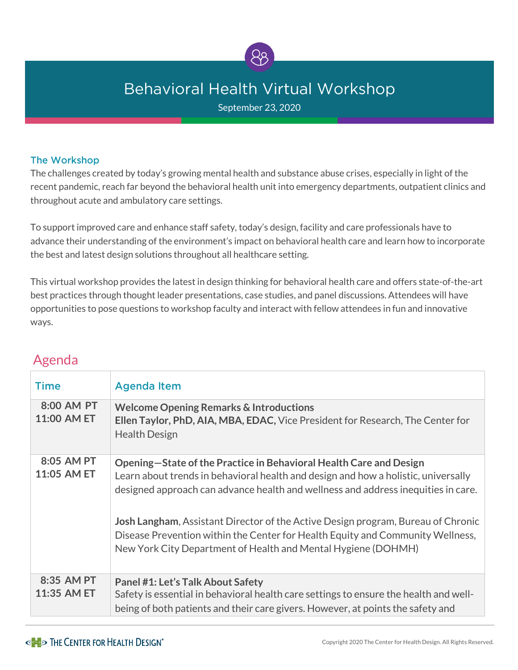

# **Behavioral Health Virtual Workshop**

September 23, 2020

#### The Workshop

The challenges created by today's growing mental health and substance abuse crises, especially in light of the recent pandemic, reach far beyond the behavioral health unit into emergency departments, outpatient clinics and throughout acute and ambulatory care settings.

To support improved care and enhance staff safety, today's design, facility and care professionals have to advance their understanding of the environment's impact on behavioral health care and learn how to incorporate the best and latest design solutions throughout all healthcare setting.

This virtual workshop provides the latest in design thinking for behavioral health care and offers state-of-the-art best practices through thought leader presentations, case studies, and panel discussions. Attendees will have opportunities to pose questions to workshop faculty and interact with fellow attendees in fun and innovative ways.

#### **Time** Agenda Item  **8:00 AM PT Welcome Opening Remarks & Introductions 11:00 AM ET Ellen Taylor, PhD, AIA, MBA, EDAC,** Vice President for Research, The Center for Health Design  **8:05 AM PT Opening—State of the Practice in Behavioral Health Care and Design 11:05 AM ET** Learn about trends in behavioral health and design and how a holistic, universally designed approach can advance health and wellness and address inequities in care. **Josh Langham**, Assistant Director of the Active Design program, Bureau of Chronic Disease Prevention within the Center for Health Equity and Community Wellness, New York City Department of Health and Mental Hygiene (DOHMH) **8:35 AM PT Panel #1: Let's Talk About Safety 11:35 AM ET** Safety is essential in behavioral health care settings to ensure the health and wellbeing of both patients and their care givers. However, at points the safety and

## Agenda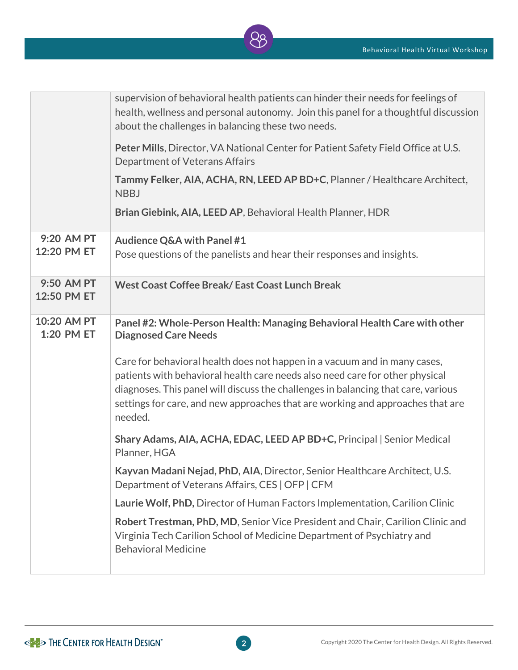

|                           | supervision of behavioral health patients can hinder their needs for feelings of<br>health, wellness and personal autonomy. Join this panel for a thoughtful discussion<br>about the challenges in balancing these two needs.                                                                                                               |
|---------------------------|---------------------------------------------------------------------------------------------------------------------------------------------------------------------------------------------------------------------------------------------------------------------------------------------------------------------------------------------|
|                           | Peter Mills, Director, VA National Center for Patient Safety Field Office at U.S.<br>Department of Veterans Affairs                                                                                                                                                                                                                         |
|                           | Tammy Felker, AIA, ACHA, RN, LEED AP BD+C, Planner / Healthcare Architect,<br><b>NBBJ</b>                                                                                                                                                                                                                                                   |
|                           | Brian Giebink, AIA, LEED AP, Behavioral Health Planner, HDR                                                                                                                                                                                                                                                                                 |
| 9:20 AM PT<br>12:20 PM ET | <b>Audience Q&amp;A with Panel #1</b><br>Pose questions of the panelists and hear their responses and insights.                                                                                                                                                                                                                             |
| 9:50 AM PT<br>12:50 PM ET | West Coast Coffee Break/East Coast Lunch Break                                                                                                                                                                                                                                                                                              |
| 10:20 AM PT<br>1:20 PM ET | Panel #2: Whole-Person Health: Managing Behavioral Health Care with other<br><b>Diagnosed Care Needs</b>                                                                                                                                                                                                                                    |
|                           | Care for behavioral health does not happen in a vacuum and in many cases,<br>patients with behavioral health care needs also need care for other physical<br>diagnoses. This panel will discuss the challenges in balancing that care, various<br>settings for care, and new approaches that are working and approaches that are<br>needed. |
|                           | Shary Adams, AIA, ACHA, EDAC, LEED AP BD+C, Principal   Senior Medical<br>Planner, HGA                                                                                                                                                                                                                                                      |
|                           | Kayvan Madani Nejad, PhD, AIA, Director, Senior Healthcare Architect, U.S.<br>Department of Veterans Affairs, CES   OFP   CFM                                                                                                                                                                                                               |
|                           | Laurie Wolf, PhD, Director of Human Factors Implementation, Carilion Clinic                                                                                                                                                                                                                                                                 |
|                           | Robert Trestman, PhD, MD, Senior Vice President and Chair, Carilion Clinic and<br>Virginia Tech Carilion School of Medicine Department of Psychiatry and<br><b>Behavioral Medicine</b>                                                                                                                                                      |
|                           |                                                                                                                                                                                                                                                                                                                                             |

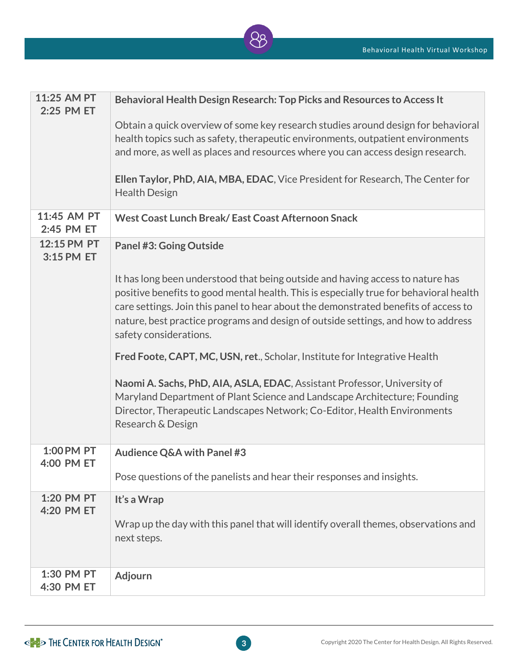

| 11:25 AM PT<br>2:25 PM ET | Behavioral Health Design Research: Top Picks and Resources to Access It                                                                                                                                                                                                                                                                                                        |
|---------------------------|--------------------------------------------------------------------------------------------------------------------------------------------------------------------------------------------------------------------------------------------------------------------------------------------------------------------------------------------------------------------------------|
|                           | Obtain a quick overview of some key research studies around design for behavioral<br>health topics such as safety, therapeutic environments, outpatient environments<br>and more, as well as places and resources where you can access design research.                                                                                                                        |
|                           | Ellen Taylor, PhD, AIA, MBA, EDAC, Vice President for Research, The Center for<br><b>Health Design</b>                                                                                                                                                                                                                                                                         |
| 11:45 AM PT<br>2:45 PM ET | West Coast Lunch Break/East Coast Afternoon Snack                                                                                                                                                                                                                                                                                                                              |
| 12:15 PM PT<br>3:15 PM ET | <b>Panel #3: Going Outside</b>                                                                                                                                                                                                                                                                                                                                                 |
|                           | It has long been understood that being outside and having access to nature has<br>positive benefits to good mental health. This is especially true for behavioral health<br>care settings. Join this panel to hear about the demonstrated benefits of access to<br>nature, best practice programs and design of outside settings, and how to address<br>safety considerations. |
|                           | Fred Foote, CAPT, MC, USN, ret., Scholar, Institute for Integrative Health                                                                                                                                                                                                                                                                                                     |
|                           | Naomi A. Sachs, PhD, AIA, ASLA, EDAC, Assistant Professor, University of<br>Maryland Department of Plant Science and Landscape Architecture; Founding<br>Director, Therapeutic Landscapes Network; Co-Editor, Health Environments<br>Research & Design                                                                                                                         |
| 1:00 PM PT<br>4:00 PM ET  | <b>Audience Q&amp;A with Panel #3</b>                                                                                                                                                                                                                                                                                                                                          |
|                           | Pose questions of the panelists and hear their responses and insights.                                                                                                                                                                                                                                                                                                         |
| 1:20 PM PT<br>4:20 PM ET  | It's a Wrap<br>Wrap up the day with this panel that will identify overall themes, observations and<br>next steps.                                                                                                                                                                                                                                                              |
| 1:30 PM PT<br>4:30 PM ET  | <b>Adjourn</b>                                                                                                                                                                                                                                                                                                                                                                 |